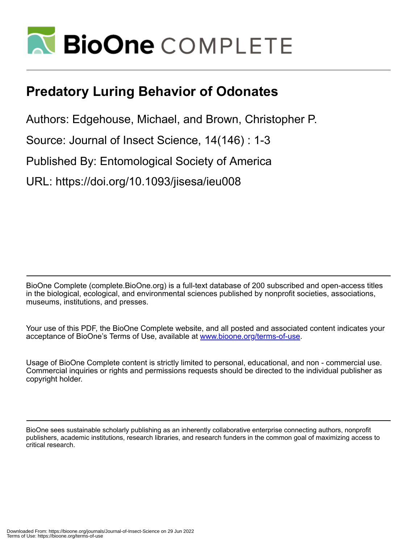

# **Predatory Luring Behavior of Odonates**

Authors: Edgehouse, Michael, and Brown, Christopher P.

Source: Journal of Insect Science, 14(146) : 1-3

Published By: Entomological Society of America

URL: https://doi.org/10.1093/jisesa/ieu008

BioOne Complete (complete.BioOne.org) is a full-text database of 200 subscribed and open-access titles in the biological, ecological, and environmental sciences published by nonprofit societies, associations, museums, institutions, and presses.

Your use of this PDF, the BioOne Complete website, and all posted and associated content indicates your acceptance of BioOne's Terms of Use, available at www.bioone.org/terms-of-use.

Usage of BioOne Complete content is strictly limited to personal, educational, and non - commercial use. Commercial inquiries or rights and permissions requests should be directed to the individual publisher as copyright holder.

BioOne sees sustainable scholarly publishing as an inherently collaborative enterprise connecting authors, nonprofit publishers, academic institutions, research libraries, and research funders in the common goal of maximizing access to critical research.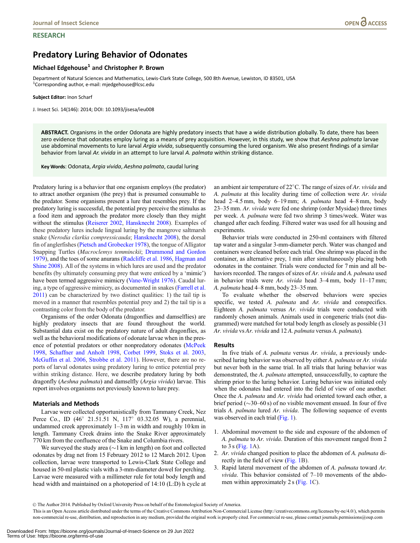# **RESEARCH**

# Predatory Luring Behavior of Odonates

# Michael Edgehouse<sup>1</sup> and Christopher P. Brown

Department of Natural Sciences and Mathematics, Lewis-Clark State College, 500 8th Avenue, Lewiston, ID 83501, USA <sup>1</sup>Corresponding author, e-mail: mjedgehouse@lcsc.edu

#### Subject Editor: Inon Scharf

J. Insect Sci. 14(146): 2014; DOI: 10.1093/jisesa/ieu008

ABSTRACT. Organisms in the order Odonata are highly predatory insects that have a wide distribution globally. To date, there has been zero evidence that odonates employ luring as a means of prey acquisition. However, in this study, we show that Aeshna palmata larvae use abdominal movements to lure larval Argia vivida, subsequently consuming the lured organism. We also present findings of a similar behavior from larval Ar. vivida in an attempt to lure larval A. palmata within striking distance.

Key Words: Odonata, Argia vivida, Aeshna palmata, caudal luring

Predatory luring is a behavior that one organism employs (the predator) to attract another organism (the prey) that is presumed consumable to the predator. Some organisms present a lure that resembles prey. If the predatory luring is successful, the potential prey perceive the stimulus as a food item and approach the predator more closely than they might without the stimulus [\(Reiserer 2002](#page-3-0), [Hansknecht 2008](#page-3-0)). Examples of these predatory lures include lingual luring by the mangrove saltmarsh snake (Nerodia clarkia compressicauda; [Hansknecht 2008](#page-3-0)), the dorsal fin of anglerfishes ([Pietsch and Grobecker 1978](#page-3-0)), the tongue of Alligator Snapping Turtles (Macroclemys temminckii; [Drummond and Gordon](#page-3-0) [1979\)](#page-3-0), and the toes of some anurans [\(Radcliffe et al. 1986,](#page-3-0) [Hagman and](#page-3-0) [Shine 2008\)](#page-3-0). All of the systems in which lures are used and the predator benefits (by ultimately consuming prey that were enticed by a 'mimic') have been termed aggressive mimicry [\(Vane-Wright 1976\)](#page-3-0). Caudal luring, a type of aggressive mimicry, as documented in snakes [\(Farrell et al.](#page-3-0) [2011](#page-3-0)) can be characterized by two distinct qualities: 1) the tail tip is moved in a manner that resembles potential prey and 2) the tail tip is a contrasting color from the body of the predator.

Organisms of the order Odonata (dragonflies and damselflies) are highly predatory insects that are found throughout the world. Substantial data exist on the predatory nature of adult dragonflies, as well as the behavioral modifications of odonate larvae when in the presence of potential predators or other nonpredatory odonates ([McPeek](#page-3-0) [1998,](#page-3-0) [Schaffner and Anholt 1998](#page-3-0), [Corbet 1999,](#page-3-0) [Stoks et al. 2003,](#page-3-0) [McGuffin et al. 2006,](#page-3-0) [Strobbe et al. 2011\)](#page-3-0). However, there are no reports of larval odonates using predatory luring to entice potential prey within striking distance. Here, we describe predatory luring by both dragonfly (Aeshna palmata) and damselfly (Argia vivida) larvae. This report involves organisms not previously known to lure prey.

# Materials and Methods

Larvae were collected opportunistically from Tammany Creek, Nez Perce Co., ID (46° 21.51.51 N, 117° 03.32.05 W), a perennial, undammed creek approximately 1–3 m in width and roughly 10 km in length. Tammany Creek drains into the Snake River approximately 770 km from the confluence of the Snake and Columbia rivers.

We surveyed the study area ( $\sim$ 1 km in length) on foot and collected odonates by drag net from 15 February 2012 to 12 March 2012. Upon collection, larvae were transported to Lewis-Clark State College and housed in 50-ml plastic vials with a 3-mm-diameter dowel for perching. Larvae were measured with a millimeter rule for total body length and head width and maintained on a photoperiod of 14:10 (L:D) h cycle at

an ambient air temperature of  $22^{\circ}$ C. The range of sizes of Ar. vivida and A. palmata at this locality during time of collection were Ar. vivida head 2–4.5 mm, body 6–19 mm; A. *palmata* head 4–8 mm, body 23–35 mm. Ar. vivida were fed one shrimp (order Mysidae) three times per week. A. palmata were fed two shrimp 3 times/week. Water was changed after each feeding. Filtered water was used for all housing and experiments.

Behavior trials were conducted in 250-ml containers with filtered tap water and a singular 3-mm-diameter perch. Water was changed and containers were cleaned before each trial. One shrimp was placed in the container, as alternative prey, 1 min after simultaneously placing both odonates in the container. Trials were conducted for 7 min and all behaviors recorded. The ranges of sizes of Ar. *vivida* and A. *palmata* used in behavior trials were Ar. vivida head 3–4 mm, body 11–17 mm; A. palmata head 4–8 mm, body 23–35 mm.

To evaluate whether the observed behaviors were species specific, we tested A. palmata and Ar. vivida and conspecifics. Eighteen A. palmata versus Ar. vivida trials were conducted with randomly chosen animals. Animals used in congeneric trials (not diagrammed) were matched for total body length as closely as possible (31 Ar. vivida vs Ar. vivida and 12 A. palmata versus A. palmata).

### Results

In five trials of A. *palmata* versus Ar. *vivida*, a previously undescribed luring behavior was observed by either A. palmata or Ar. vivida but never both in the same trial. In all trials that luring behavior was demonstrated, the A. palmata attempted, unsuccessfully, to capture the shrimp prior to the luring behavior. Luring behavior was initiated only when the odonates had entered into the field of view of one another. Once the A. palmata and Ar. vivida had oriented toward each other, a brief period ( $\sim$ 30–60 s) of no visible movement ensued. In four of five trials A. palmata lured Ar. vivida. The following sequence of events was observed in each trial [\(Fig. 1\)](#page-2-0).

- 1. Abdominal movement to the side and exposure of the abdomen of A. palmata to Ar. vivida. Duration of this movement ranged from 2 to  $3 s$  [\(Fig. 1](#page-2-0)A).
- 2. Ar. vivida changed position to place the abdomen of A. palmata directly in the field of view [\(Fig. 1](#page-2-0)B).
- 3. Rapid lateral movement of the abdomen of A. palmata toward Ar. *vivida*. This behavior consisted of  $7-10$  movements of the abdomen within approximately 2 s [\(Fig. 1](#page-2-0)C).

V<sup>C</sup> The Author 2014. Published by Oxford University Press on behalf of the Entomological Society of America.

This is an Open Access article distributed under the terms of the Creative Commons Attribution Non-Commercial License (http://creativecommons.org/licenses/by-nc/4.0/), which permits non-commercial re-use, distribution, and reproduction in any medium, provided the original work is properly cited. For commercial re-use, please contact journals.permissions@oup.com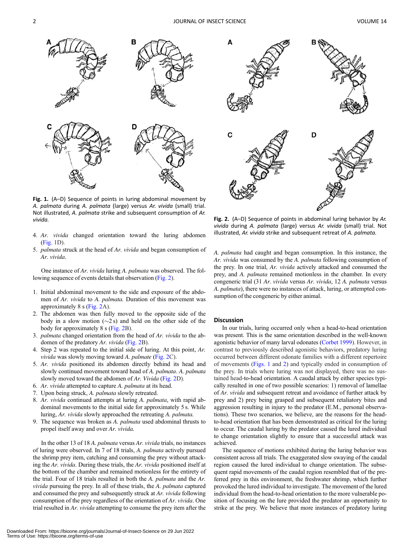<span id="page-2-0"></span>

Fig. 1. (A–D) Sequence of points in luring abdominal movement by A. palmata during A. palmata (large) versus Ar. vivida (small) trial. Not illustrated, A. palmata strike and subsequent consumption of Ar. vivida. Fig. 2. (A–D) Sequence of points in abdominal luring behavior by Ar.

- 4. Ar. vivida changed orientation toward the luring abdomen (Fig. 1D).
- 5. palmata struck at the head of Ar. vivida and began consumption of Ar. vivida.

One instance of Ar. vivida luring A. palmata was observed. The following sequence of events details that observation (Fig. 2).

- 1. Initial abdominal movement to the side and exposure of the abdomen of Ar. vivida to A. palmata. Duration of this movement was approximately 8 s (Fig. 2A).
- 2. The abdomen was then fully moved to the opposite side of the body in a slow motion  $(\sim 2 \text{ s})$  and held on the other side of the body for approximately 8 s (Fig. 2B).
- 3. palmata changed orientation from the head of Ar. vivida to the abdomen of the predatory Ar. vivida (Fig. 2B).
- 4. Step 2 was repeated to the initial side of luring. At this point, Ar. vivida was slowly moving toward A. palmate (Fig. 2C).
- 5. Ar. vivida positioned its abdomen directly behind its head and slowly continued movement toward head of A. palmata. A. palmata slowly moved toward the abdomen of Ar. Vivida (Fig. 2D).
- 6. Ar. vivida attempted to capture A. palmata at its head.
- 7. Upon being struck, A. palmata slowly retreated.
- 8. Ar. vivida continued attempts at luring A. palmata, with rapid abdominal movements to the initial side for approximately 5 s. While luring, Ar. vivida slowly approached the retreating A. palmata.
- 9. The sequence was broken as A. palmata used abdominal thrusts to propel itself away and over Ar. vivida.

In the other 13 of 18 A. *palmata* versus Ar. *vivida* trials, no instances of luring were observed. In 7 of 18 trials, A. palmata actively pursued the shrimp prey item, catching and consuming the prey without attacking the Ar. vivida. During these trials, the Ar. vivida positioned itself at the bottom of the chamber and remained motionless for the entirety of the trial. Four of 18 trials resulted in both the A. palmata and the Ar. vivida pursuing the prey. In all of these trials, the A. palmata captured and consumed the prey and subsequently struck at Ar. vivida following consumption of the prey regardless of the orientation of Ar. vivida. One trial resulted in Ar. vivida attempting to consume the prey item after the



vivida during A. palmata (large) versus Ar. vivida (small) trial. Not illustrated, Ar. vivida strike and subsequent retreat of A. palmata.

A. palmata had caught and began consumption. In this instance, the Ar. vivida was consumed by the A. palmata following consumption of the prey. In one trial, Ar. vivida actively attacked and consumed the prey, and A. palmata remained motionless in the chamber. In every congeneric trial (31 Ar. vivida versus Ar. vivida, 12 A. palmata versus A. palmata), there were no instances of attack, luring, or attempted consumption of the congeneric by either animal.

## **Discussion**

In our trials, luring occurred only when a head-to-head orientation was present. This is the same orientation described in the well-known agonistic behavior of many larval odonates [\(Corbet 1999](#page-3-0)). However, in contrast to previously described agonistic behaviors, predatory luring occurred between different odonate families with a different repertoire of movements (Figs. 1 and 2) and typically ended in consumption of the prey. In trials where luring was not displayed, there was no sustained head-to-head orientation. A caudal attack by either species typically resulted in one of two possible scenarios: 1) removal of lamellae of Ar. vivida and subsequent retreat and avoidance of further attack by prey and 2) prey being grasped and subsequent retaliatory bites and aggression resulting in injury to the predator (E.M., personal observations). These two scenarios, we believe, are the reasons for the headto-head orientation that has been demonstrated as critical for the luring to occur. The caudal luring by the predator caused the lured individual to change orientation slightly to ensure that a successful attack was achieved.

The sequence of motions exhibited during the luring behavior was consistent across all trials. The exaggerated slow swaying of the caudal region caused the lured individual to change orientation. The subsequent rapid movements of the caudal region resembled that of the preferred prey in this environment, the freshwater shrimp, which further provoked the lured individual to investigate. The movement of the lured individual from the head-to-head orientation to the more vulnerable position of focusing on the lure provided the predator an opportunity to strike at the prey. We believe that more instances of predatory luring